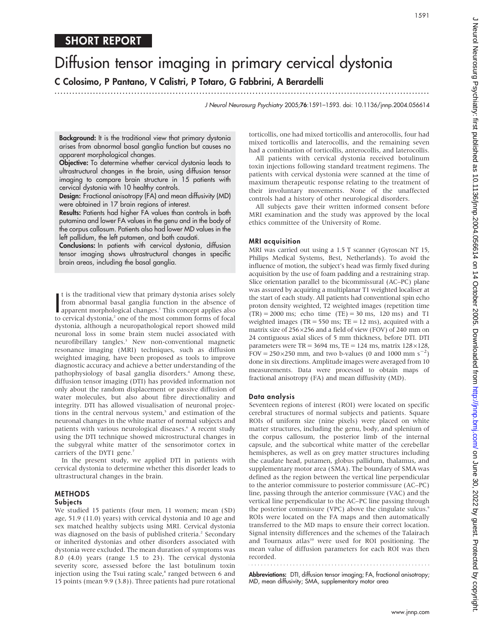# SHORT REPORT

# Diffusion tensor imaging in primary cervical dystonia

C Colosimo, P Pantano, V Calistri, P Totaro, G Fabbrini, A Berardelli

J Neurol Neurosurg Psychiatry 2005;76:1591–1593. doi: 10.1136/jnnp.2004.056614

Background: It is the traditional view that primary dystonia arises from abnormal basal ganglia function but causes no apparent morphological changes.

...............................................................................................................................

Objective: To determine whether cervical dystonia leads to ultrastructural changes in the brain, using diffusion tensor imaging to compare brain structure in 15 patients with cervical dystonia with 10 healthy controls.

Design: Fractional anisotropy (FA) and mean diffusivity (MD) were obtained in 17 brain regions of interest.

Results: Patients had higher FA values than controls in both putamina and lower FA values in the genu and in the body of the corpus callosum. Patients also had lower MD values in the left pallidum, the left putamen, and both caudati.

Conclusions: In patients with cervical dystonia, diffusion tensor imaging shows ultrastructural changes in specific brain areas, including the basal ganglia.

It is the traditional view that primary dystonia arises solely<br>from abnormal basal ganglia function in the absence of<br>apparent morphological changes.<sup>1</sup> This concept applies also<br>cerviced dystonia <sup>2</sup> one cannot be compute t is the traditional view that primary dystonia arises solely from abnormal basal ganglia function in the absence of to cervical dystonia,<sup>2</sup> one of the most common forms of focal dystonia, although a neuropathological report showed mild neuronal loss in some brain stem nuclei associated with neurofibrillary tangles.<sup>3</sup> New non-conventional magnetic resonance imaging (MRI) techniques, such as diffusion weighted imaging, have been proposed as tools to improve diagnostic accuracy and achieve a better understanding of the pathophysiology of basal ganglia disorders.<sup>4</sup> Among these, diffusion tensor imaging (DTI) has provided information not only about the random displacement or passive diffusion of water molecules, but also about fibre directionality and integrity. DTI has allowed visualisation of neuronal projections in the central nervous system,<sup>5</sup> and estimation of the neuronal changes in the white matter of normal subjects and patients with various neurological diseases.<sup>6</sup> A recent study using the DTI technique showed microstructural changes in the subgyral white matter of the sensorimotor cortex in carriers of the DYT1 gene.<sup>7</sup>

In the present study, we applied DTI in patients with cervical dystonia to determine whether this disorder leads to ultrastructural changes in the brain.

# **METHODS**

### Subjects

We studied 15 patients (four men, 11 women; mean (SD) age, 51.9 (11.0) years) with cervical dystonia and 10 age and sex matched healthy subjects using MRI. Cervical dystonia was diagnosed on the basis of published criteria.<sup>2</sup> Secondary or inherited dystonias and other disorders associated with dystonia were excluded. The mean duration of symptoms was 8.0 (4.0) years (range 1.5 to 23). The cervical dystonia severity score, assessed before the last botulinum toxin injection using the Tsui rating scale,<sup>8</sup> ranged between 6 and 15 points (mean 9.9 (3.8)). Three patients had pure rotational torticollis, one had mixed torticollis and anterocollis, four had mixed torticollis and laterocollis, and the remaining seven had a combination of torticollis, anterocollis, and laterocollis.

All patients with cervical dystonia received botulinum toxin injections following standard treatment regimens. The patients with cervical dystonia were scanned at the time of maximum therapeutic response relating to the treatment of their involuntary movements. None of the unaffected controls had a history of other neurological disorders.

All subjects gave their written informed consent before MRI examination and the study was approved by the local ethics committee of the University of Rome.

#### MRI acquisition

MRI was carried out using a 1.5 T scanner (Gyroscan NT 15, Philips Medical Systems, Best, Netherlands). To avoid the influence of motion, the subject's head was firmly fixed during acquisition by the use of foam padding and a restraining strap. Slice orientation parallel to the bicommissural (AC–PC) plane was assured by acquiring a multiplanar T1 weighted localiser at the start of each study. All patients had conventional spin echo proton density weighted, T2 weighted images (repetition time  $(TR) = 2000$  ms; echo time  $(TE) = 30$  ms, 120 ms) and T1 weighted images (TR =  $550$  ms; TE =  $12$  ms), acquired with a matrix size of  $256\times256$  and a field of view (FOV) of 240 mm on 24 contiguous axial slices of 5 mm thickness, before DTI. DTI parameters were  $TR = 3694$  ms,  $TE = 124$  ms, matrix  $128 \times 128$ , FOV =  $250 \times 250$  mm, and two b-values (0 and 1000 mm s<sup>-2</sup>) done in six directions. Amplitude images were averaged from 10 measurements. Data were processed to obtain maps of fractional anisotropy (FA) and mean diffusivity (MD).

#### Data analysis

Seventeen regions of interest (ROI) were located on specific cerebral structures of normal subjects and patients. Square ROIs of uniform size (nine pixels) were placed on white matter structures, including the genu, body, and splenium of the corpus callosum, the posterior limb of the internal capsule, and the subcortical white matter of the cerebellar hemispheres, as well as on grey matter structures including the caudate head, putamen, globus pallidum, thalamus, and supplementary motor area (SMA). The boundary of SMA was defined as the region between the vertical line perpendicular to the anterior commissure to posterior commissure (AC–PC) line, passing through the anterior commissure (VAC) and the vertical line perpendicular to the AC–PC line passing through the posterior commissure (VPC) above the cingulate sulcus.<sup>9</sup> ROIs were located on the FA maps and then automatically transferred to the MD maps to ensure their correct location. Signal intensity differences and the schemes of the Talairach and Tournaux atlas<sup>10</sup> were used for ROI positioning. The mean value of diffusion parameters for each ROI was then recorded. 

Abbreviations: DTI, diffusion tensor imaging; FA, fractional anisotropy; MD, mean diffusivity; SMA, supplementary motor area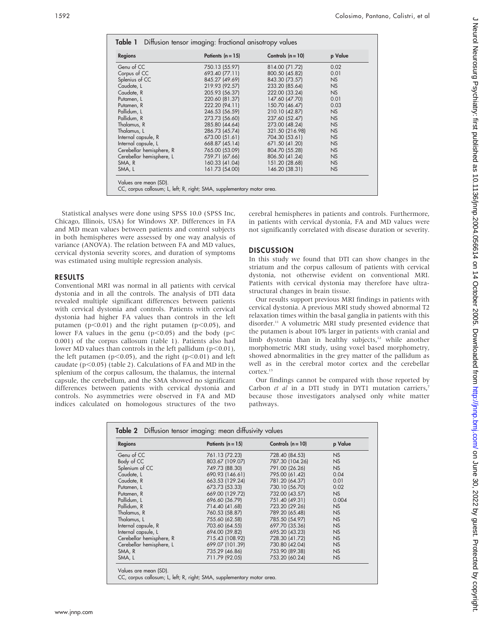| <b>Regions</b>           | Patients $(n = 15)$ | Controls $(n = 10)$ | p Value   |
|--------------------------|---------------------|---------------------|-----------|
| Genu of CC               | 750.13 (55.97)      | 814.00 (71.72)      | 0.02      |
| Corpus of CC             | 693.40 (77.11)      | 800.50 (45.82)      | 0.01      |
| Splenius of CC           | 845.27 (49.69)      | 843.30 (73.57)      | NS        |
| Caudate, L               | 219.93 (92.57)      | 233.20 (85.64)      | <b>NS</b> |
| Caudate, R               | 205.93 (56.37)      | 222.00 (33.24)      | <b>NS</b> |
| Putamen, L               | 220.60 (81.37)      | 147.60 (47.70)      | 0.01      |
| Putamen, R               | 222.20 (94.11)      | 150.70 (46.47)      | 0.03      |
| Pallidum, L              | 246.53 (56.59)      | 210.10 (42.87)      | <b>NS</b> |
| Pallidum, R              | 273.73 (56.60)      | 237.60 (52.47)      | <b>NS</b> |
| Thalamus, R              | 285.80 (44.64)      | 273.00 (48.24)      | <b>NS</b> |
| Thalamus, L              | 286.73 (45.74)      | 321.50 (216.98)     | <b>NS</b> |
| Internal capsule, R      | 673.00 (51.61)      | 704.30 (53.61)      | <b>NS</b> |
| Internal capsule, L      | 668.87 (45.14)      | 671.50 (41.20)      | <b>NS</b> |
| Cerebellar hemisphere, R | 765.00 (53.09)      | 804.70 (55.28)      | <b>NS</b> |
| Cerebellar hemisphere, L | 759.71 (67.66)      | 806.50 (41.24)      | <b>NS</b> |
| SMA, R                   | 160.33 (41.04)      | 151.20 (28.68)      | <b>NS</b> |
| SMA, L                   | 161.73 (54.00)      | 146.20 (38.31)      | <b>NS</b> |

Statistical analyses were done using SPSS 10.0 (SPSS Inc, Chicago, Illinois, USA) for Windows XP. Differences in FA and MD mean values between patients and control subjects in both hemispheres were assessed by one way analysis of variance (ANOVA). The relation between FA and MD values, cervical dystonia severity scores, and duration of symptoms was estimated using multiple regression analysis.

## RESULTS

Conventional MRI was normal in all patients with cervical dystonia and in all the controls. The analysis of DTI data revealed multiple significant differences between patients with cervical dystonia and controls. Patients with cervical dystonia had higher FA values than controls in the left putamen ( $p<0.01$ ) and the right putamen ( $p<0.05$ ), and lower FA values in the genu ( $p$ <0.05) and the body ( $p$ < 0.001) of the corpus callosum (table 1). Patients also had lower MD values than controls in the left pallidum ( $p<0.01$ ), the left putamen ( $p<0.05$ ), and the right ( $p<0.01$ ) and left caudate ( $p<0.05$ ) (table 2). Calculations of FA and MD in the splenium of the corpus callosum, the thalamus, the internal capsule, the cerebellum, and the SMA showed no significant differences between patients with cervical dystonia and controls. No asymmetries were observed in FA and MD indices calculated on homologous structures of the two

cerebral hemispheres in patients and controls. Furthermore, in patients with cervical dystonia, FA and MD values were not significantly correlated with disease duration or severity.

# **DISCUSSION**

In this study we found that DTI can show changes in the striatum and the corpus callosum of patients with cervical dystonia, not otherwise evident on conventional MRI. Patients with cervical dystonia may therefore have ultrastructural changes in brain tissue.

Our results support previous MRI findings in patients with cervical dystonia. A previous MRI study showed abnormal T2 relaxation times within the basal ganglia in patients with this disorder.<sup>11</sup> A volumetric MRI study presented evidence that the putamen is about 10% larger in patients with cranial and limb dystonia than in healthy subjects,<sup>12</sup> while another morphometric MRI study, using voxel based morphometry, showed abnormalities in the grey matter of the pallidum as well as in the cerebral motor cortex and the cerebellar cortex.<sup>13</sup>

Our findings cannot be compared with those reported by Carbon et al in a DTI study in DYT1 mutation carriers,7 because those investigators analysed only white matter pathways.

| <b>Regions</b>           | Patients $(n = 15)$ | Controls $(n = 10)$ | p Value        |
|--------------------------|---------------------|---------------------|----------------|
| Genu of CC               | 761.13 (72.23)      | 728.40 (84.53)      | NS             |
| Body of CC               | 803.67 (109.07)     | 787.30 (104.26)     | <b>NS</b>      |
| Splenium of CC           | 749.73 (88.30)      | 791.00 (26.26)      | <b>NS</b>      |
| Caudate, L               | 690.93 (146.61)     | 795.00 (61.42)      | 0.04           |
| Caudate, R               | 663.53 (129.24)     | 781.20 (64.37)      | 0.01           |
| Putamen, L               | 673.73 (53.33)      | 730.10 (56.70)      | 0.02           |
| Putamen, R               | 669.00 (129.72)     | 732.00 (43.57)      | N <sub>S</sub> |
| Pallidum, L              | 696.60 (36.79)      | 751.40 (49.31)      | 0.004          |
| Pallidum, R              | 714.40 (41.68)      | 723.20 (29.26)      | <b>NS</b>      |
| Thalamus, R              | 760.53 (58.87)      | 789.20 (65.48)      | <b>NS</b>      |
| Thalamus, L              | 755.60 (62.58)      | 785.50 (54.97)      | <b>NS</b>      |
| Internal capsule, R      | 703.60 (64.55)      | 697.70 (35.36)      | <b>NS</b>      |
| Internal capsule, L      | 694.00 (39.82)      | 695.20 (43.23)      | <b>NS</b>      |
| Cerebellar hemisphere, R | 715.43 (108.92)     | 728.30 (41.72)      | <b>NS</b>      |
| Cerebellar hemisphere, L | 699.07 (101.39)     | 730.80 (42.04)      | <b>NS</b>      |
| SMA, R                   | 735.29 (46.86)      | 753.90 (89.38)      | <b>NS</b>      |
| SMA, L                   | 711.79 (92.05)      | 753.20 (60.24)      | <b>NS</b>      |

Values are mean (SD).

CC, corpus callosum; L, left; R, right; SMA, supplementary motor area.